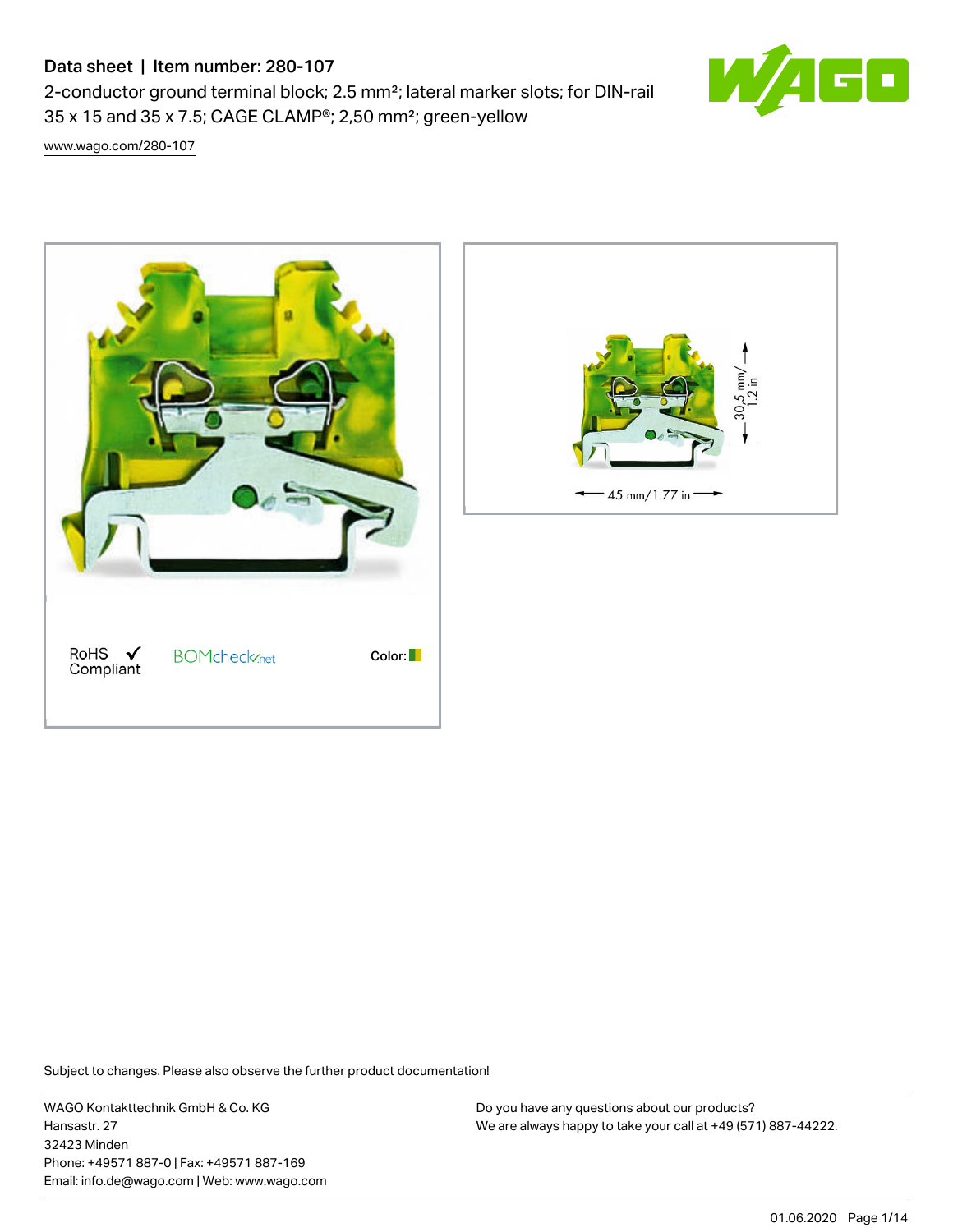# Data sheet | Item number: 280-107

2-conductor ground terminal block; 2.5 mm²; lateral marker slots; for DIN-rail 35 x 15 and 35 x 7.5; CAGE CLAMP®; 2,50 mm²; green-yellow

[www.wago.com/280-107](http://www.wago.com/280-107)





Subject to changes. Please also observe the further product documentation!

WAGO Kontakttechnik GmbH & Co. KG Hansastr. 27 32423 Minden Phone: +49571 887-0 | Fax: +49571 887-169 Email: info.de@wago.com | Web: www.wago.com

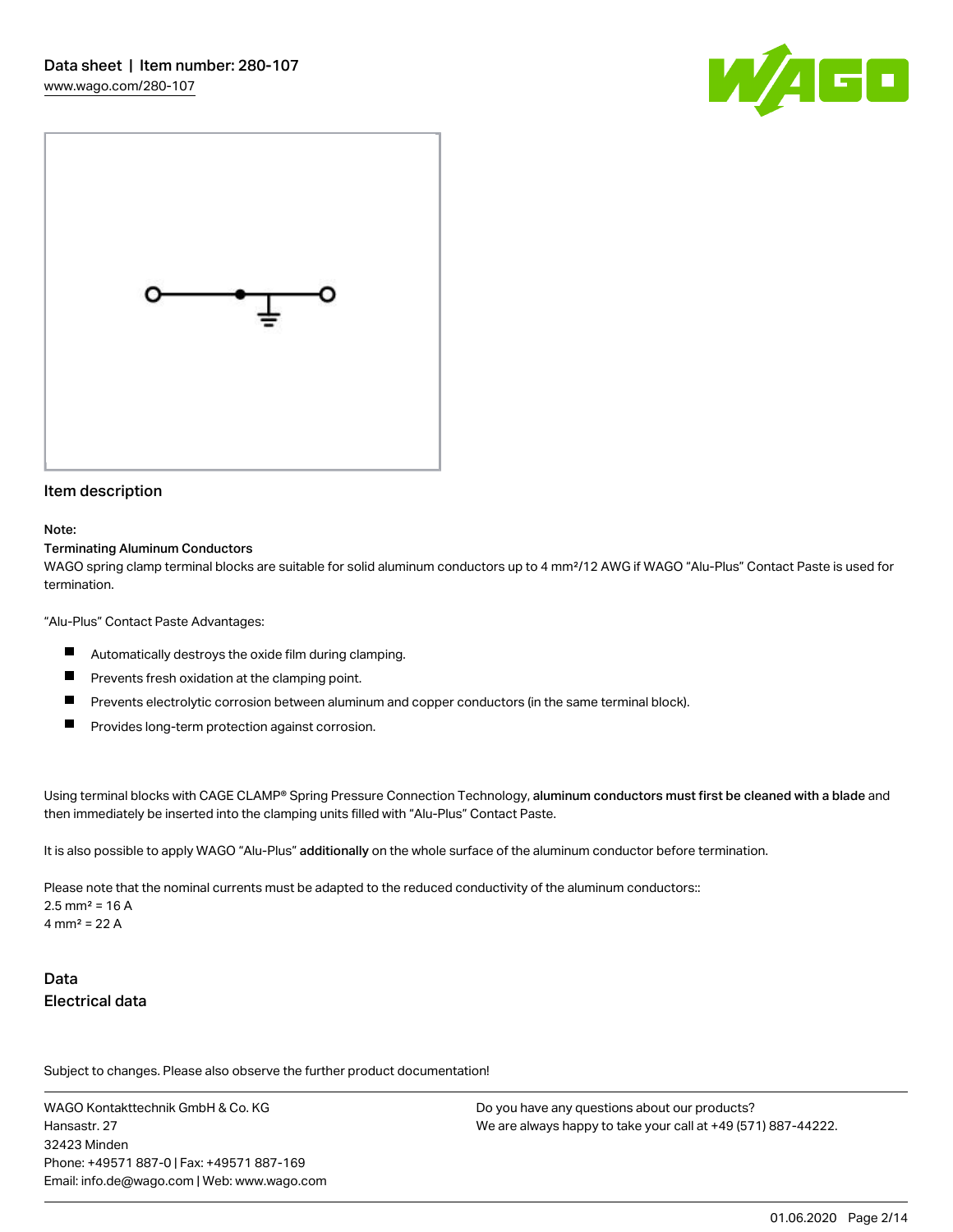



#### Item description

#### Note:

#### Terminating Aluminum Conductors

WAGO spring clamp terminal blocks are suitable for solid aluminum conductors up to 4 mm²/12 AWG if WAGO "Alu-Plus" Contact Paste is used for termination.

"Alu-Plus" Contact Paste Advantages:

- П Automatically destroys the oxide film during clamping.
- П Prevents fresh oxidation at the clamping point.
- П Prevents electrolytic corrosion between aluminum and copper conductors (in the same terminal block).
- П Provides long-term protection against corrosion.

Using terminal blocks with CAGE CLAMP® Spring Pressure Connection Technology, aluminum conductors must first be cleaned with a blade and then immediately be inserted into the clamping units filled with "Alu-Plus" Contact Paste.

It is also possible to apply WAGO "Alu-Plus" additionally on the whole surface of the aluminum conductor before termination.

Please note that the nominal currents must be adapted to the reduced conductivity of the aluminum conductors::  $2.5$  mm<sup>2</sup> = 16 A 4 mm<sup>2</sup> = 22 A

# Data Electrical data

Subject to changes. Please also observe the further product documentation!

WAGO Kontakttechnik GmbH & Co. KG Hansastr. 27 32423 Minden Phone: +49571 887-0 | Fax: +49571 887-169 Email: info.de@wago.com | Web: www.wago.com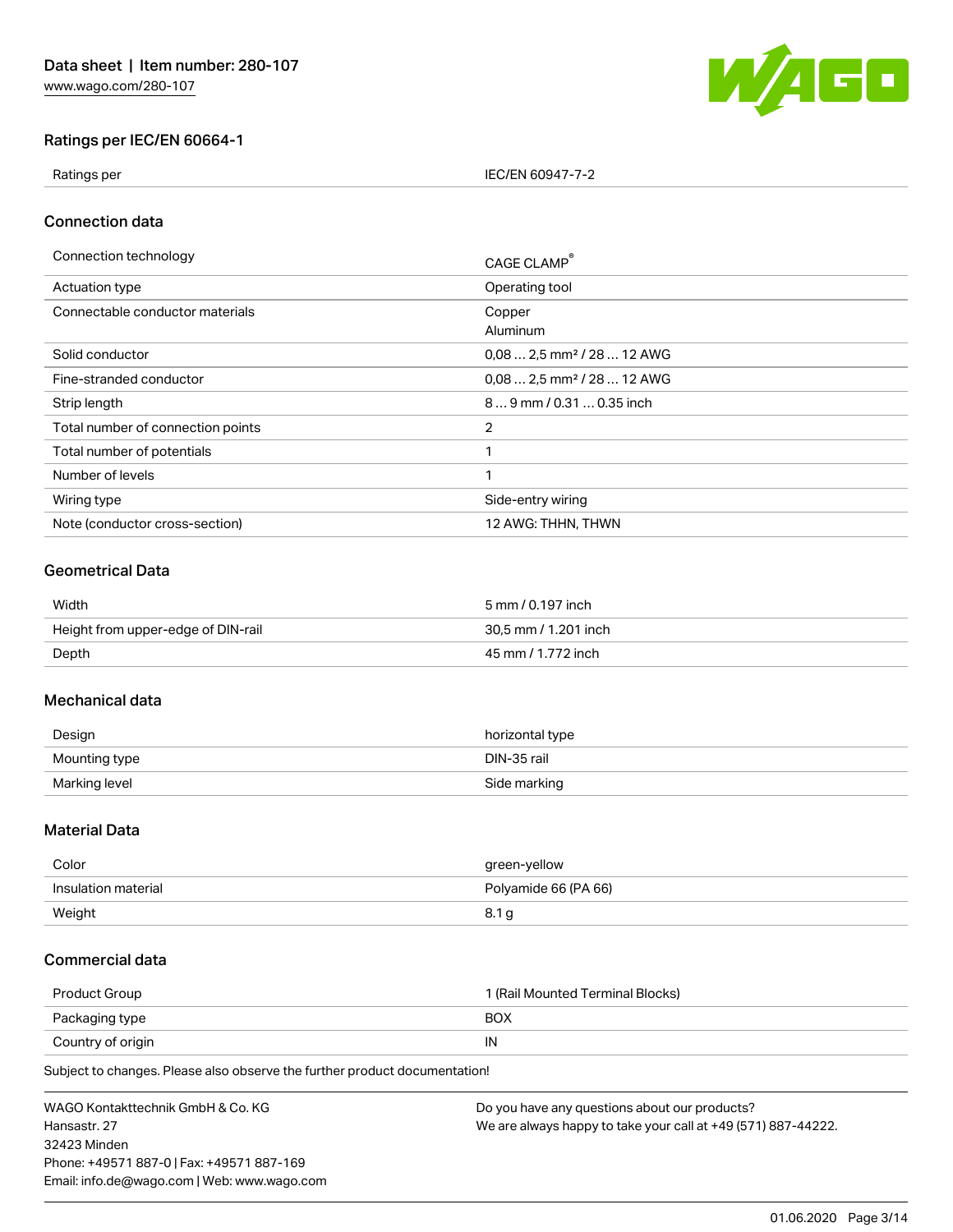

# Ratings per IEC/EN 60664-1

Ratings per IEC/EN 60947-7-2

# Connection data

| Connection technology             | CAGE CLAMP®                            |
|-----------------------------------|----------------------------------------|
| Actuation type                    | Operating tool                         |
| Connectable conductor materials   | Copper<br>Aluminum                     |
| Solid conductor                   | $0.082.5$ mm <sup>2</sup> / 28  12 AWG |
| Fine-stranded conductor           | $0.082.5$ mm <sup>2</sup> / 28  12 AWG |
| Strip length                      | 89 mm / 0.31  0.35 inch                |
| Total number of connection points | 2                                      |
| Total number of potentials        | 1                                      |
| Number of levels                  | 1                                      |
| Wiring type                       | Side-entry wiring                      |
| Note (conductor cross-section)    | 12 AWG: THHN, THWN                     |

# Geometrical Data

| Width                              | 5 mm / 0.197 inch    |  |
|------------------------------------|----------------------|--|
| Height from upper-edge of DIN-rail | 30.5 mm / 1.201 inch |  |
| Depth                              | 45 mm / 1.772 inch   |  |

# Mechanical data

| Design        | horizontal type |
|---------------|-----------------|
| Mounting type | DIN-35 rail     |
| Marking level | Side marking    |

## Material Data

| Color               | green-yellow         |
|---------------------|----------------------|
| Insulation material | Polyamide 66 (PA 66) |
| Weight              | 8.1 G                |

# Commercial data

| Product Group     | 1 (Rail Mounted Terminal Blocks) |  |
|-------------------|----------------------------------|--|
| Packaging type    | BOX                              |  |
| Country of origin | IN                               |  |

Subject to changes. Please also observe the further product documentation!

| WAGO Kontakttechnik GmbH & Co. KG           | Do you have any questions about our products?                 |
|---------------------------------------------|---------------------------------------------------------------|
| Hansastr. 27                                | We are always happy to take your call at +49 (571) 887-44222. |
| 32423 Minden                                |                                                               |
| Phone: +49571 887-0   Fax: +49571 887-169   |                                                               |
| Email: info.de@wago.com   Web: www.wago.com |                                                               |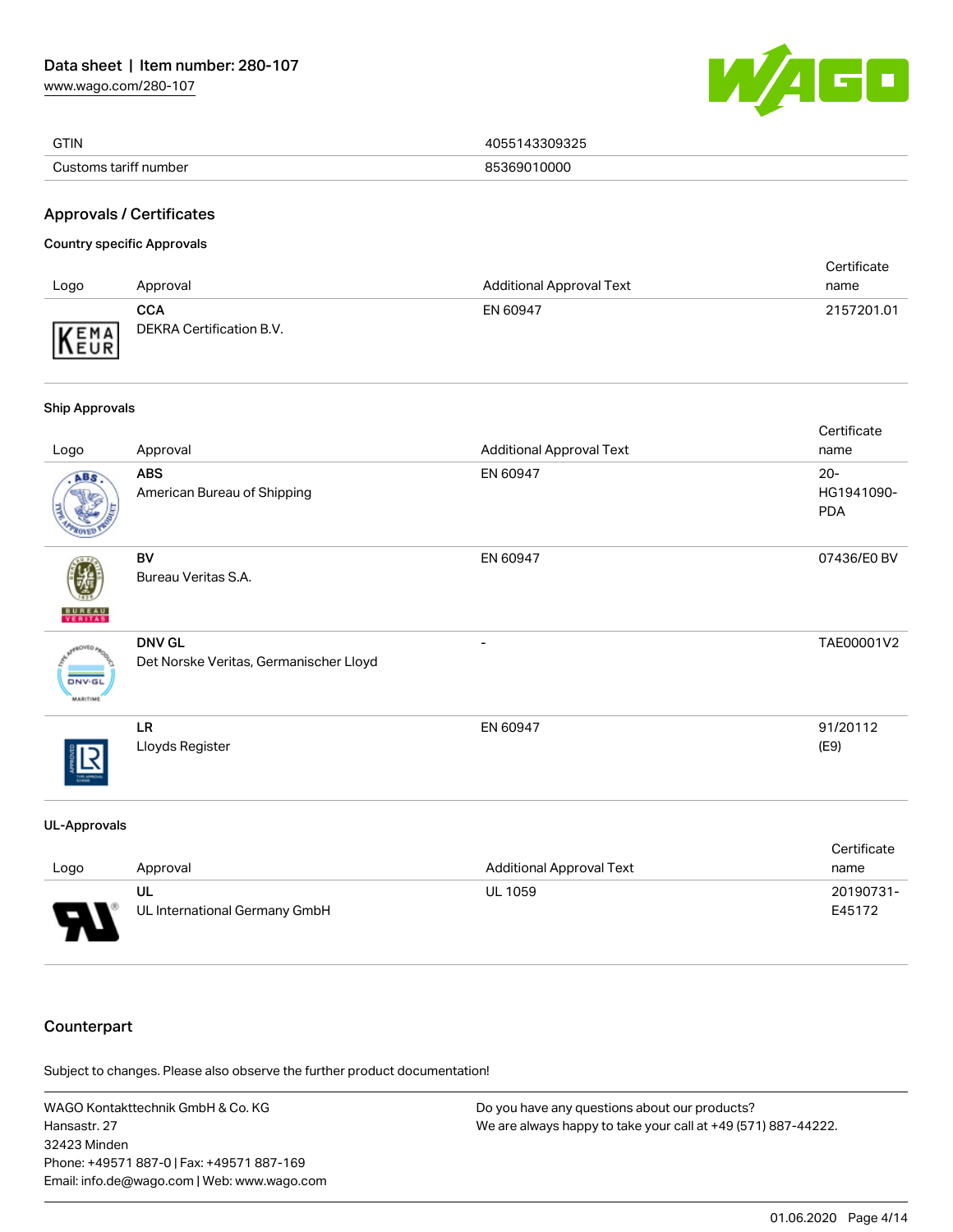[www.wago.com/280-107](http://www.wago.com/280-107)



| <b>GTIN</b>           | 309325      |
|-----------------------|-------------|
| Customs tariff number | 85369010000 |

# Approvals / Certificates

#### Country specific Approvals

| Logo | Approval                               | <b>Additional Approval Text</b> | Certificate<br>name |
|------|----------------------------------------|---------------------------------|---------------------|
| KEMA | <b>CCA</b><br>DEKRA Certification B.V. | EN 60947                        | 2157201.01          |

#### Ship Approvals

| Logo                                        | Approval                                                | <b>Additional Approval Text</b> | Certificate<br>name                |
|---------------------------------------------|---------------------------------------------------------|---------------------------------|------------------------------------|
| ABS.                                        | <b>ABS</b><br>American Bureau of Shipping               | EN 60947                        | $20 -$<br>HG1941090-<br><b>PDA</b> |
| <b>BUREAU</b><br>VERITAS                    | BV<br>Bureau Veritas S.A.                               | EN 60947                        | 07436/E0 BV                        |
| aOVED a<br><b>DNV-GL</b><br><b>MARITIME</b> | <b>DNV GL</b><br>Det Norske Veritas, Germanischer Lloyd |                                 | TAE00001V2                         |
|                                             | <b>LR</b><br>Lloyds Register                            | EN 60947                        | 91/20112<br>(E9)                   |
| <b>UL-Approvals</b>                         |                                                         |                                 |                                    |

|                               |                               |                                 | Certificate |
|-------------------------------|-------------------------------|---------------------------------|-------------|
| Logo                          | Approval                      | <b>Additional Approval Text</b> | name        |
|                               | UL                            | <b>UL 1059</b>                  | 20190731-   |
| J<br>$\overline{\phantom{0}}$ | UL International Germany GmbH |                                 | E45172      |

# **Counterpart**

Subject to changes. Please also observe the further product documentation!

WAGO Kontakttechnik GmbH & Co. KG Hansastr. 27 32423 Minden Phone: +49571 887-0 | Fax: +49571 887-169 Email: info.de@wago.com | Web: www.wago.com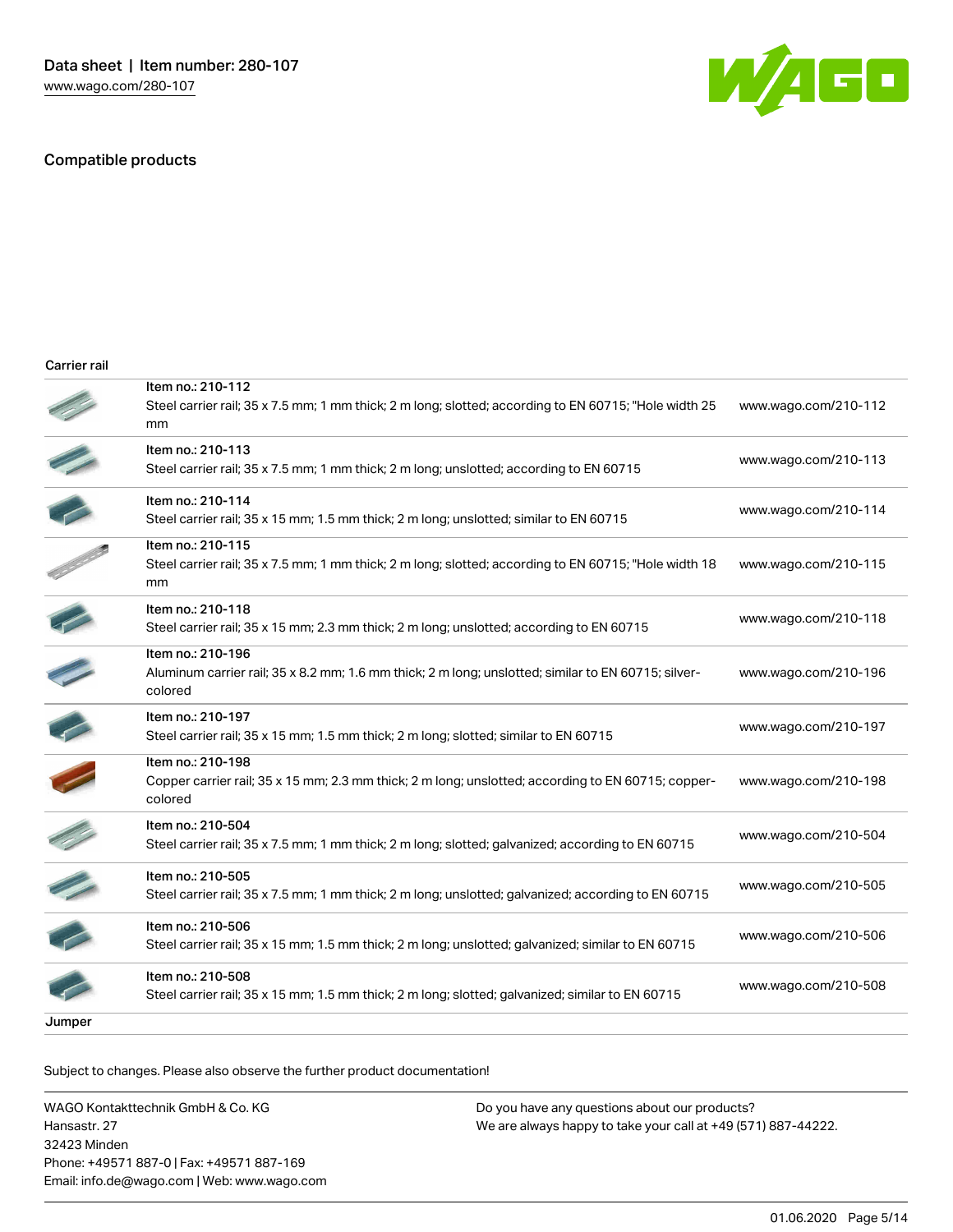### Compatible products



| Carrier rail |  |
|--------------|--|
|              |  |
|              |  |
|              |  |

|        | Item no.: 210-112<br>Steel carrier rail; 35 x 7.5 mm; 1 mm thick; 2 m long; slotted; according to EN 60715; "Hole width 25<br>mm    | www.wago.com/210-112 |
|--------|-------------------------------------------------------------------------------------------------------------------------------------|----------------------|
|        | Item no.: 210-113<br>Steel carrier rail; 35 x 7.5 mm; 1 mm thick; 2 m long; unslotted; according to EN 60715                        | www.wago.com/210-113 |
|        | Item no.: 210-114<br>Steel carrier rail; 35 x 15 mm; 1.5 mm thick; 2 m long; unslotted; similar to EN 60715                         | www.wago.com/210-114 |
|        | Item no.: 210-115<br>Steel carrier rail; 35 x 7.5 mm; 1 mm thick; 2 m long; slotted; according to EN 60715; "Hole width 18<br>mm    | www.wago.com/210-115 |
|        | Item no.: 210-118<br>Steel carrier rail; 35 x 15 mm; 2.3 mm thick; 2 m long; unslotted; according to EN 60715                       | www.wago.com/210-118 |
|        | Item no.: 210-196<br>Aluminum carrier rail; 35 x 8.2 mm; 1.6 mm thick; 2 m long; unslotted; similar to EN 60715; silver-<br>colored | www.wago.com/210-196 |
|        | Item no.: 210-197<br>Steel carrier rail; 35 x 15 mm; 1.5 mm thick; 2 m long; slotted; similar to EN 60715                           | www.wago.com/210-197 |
|        | Item no.: 210-198<br>Copper carrier rail; 35 x 15 mm; 2.3 mm thick; 2 m long; unslotted; according to EN 60715; copper-<br>colored  | www.wago.com/210-198 |
|        | Item no.: 210-504<br>Steel carrier rail; 35 x 7.5 mm; 1 mm thick; 2 m long; slotted; galvanized; according to EN 60715              | www.wago.com/210-504 |
|        | Item no.: 210-505<br>Steel carrier rail; 35 x 7.5 mm; 1 mm thick; 2 m long; unslotted; galvanized; according to EN 60715            | www.wago.com/210-505 |
|        | Item no.: 210-506<br>Steel carrier rail; 35 x 15 mm; 1.5 mm thick; 2 m long; unslotted; galvanized; similar to EN 60715             | www.wago.com/210-506 |
|        | Item no.: 210-508<br>Steel carrier rail; 35 x 15 mm; 1.5 mm thick; 2 m long; slotted; galvanized; similar to EN 60715               | www.wago.com/210-508 |
| Jumper |                                                                                                                                     |                      |

Subject to changes. Please also observe the further product documentation!

WAGO Kontakttechnik GmbH & Co. KG Hansastr. 27 32423 Minden Phone: +49571 887-0 | Fax: +49571 887-169 Email: info.de@wago.com | Web: www.wago.com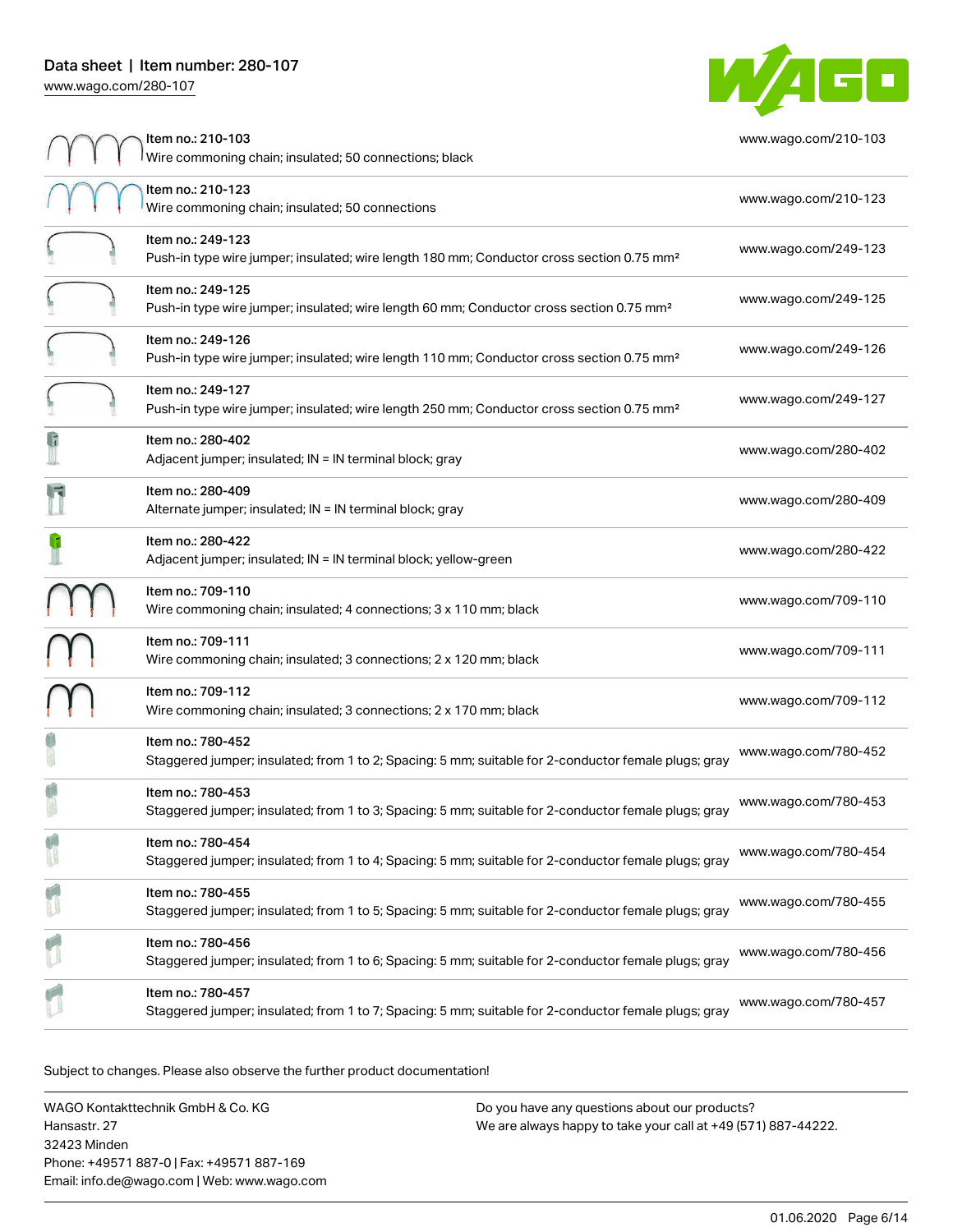

|              | Item no.: 210-103<br>Wire commoning chain; insulated; 50 connections; black                                                | www.wago.com/210-103 |
|--------------|----------------------------------------------------------------------------------------------------------------------------|----------------------|
|              | Item no.: 210-123<br>Wire commoning chain; insulated; 50 connections                                                       | www.wago.com/210-123 |
|              | Item no.: 249-123<br>Push-in type wire jumper; insulated; wire length 180 mm; Conductor cross section 0.75 mm <sup>2</sup> | www.wago.com/249-123 |
|              | Item no.: 249-125<br>Push-in type wire jumper; insulated; wire length 60 mm; Conductor cross section 0.75 mm <sup>2</sup>  | www.wago.com/249-125 |
|              | Item no.: 249-126<br>Push-in type wire jumper; insulated; wire length 110 mm; Conductor cross section 0.75 mm <sup>2</sup> | www.wago.com/249-126 |
|              | Item no.: 249-127<br>Push-in type wire jumper; insulated; wire length 250 mm; Conductor cross section 0.75 mm <sup>2</sup> | www.wago.com/249-127 |
| $\mathbf{G}$ | Item no.: 280-402<br>Adjacent jumper; insulated; IN = IN terminal block; gray                                              | www.wago.com/280-402 |
|              | Item no.: 280-409<br>Alternate jumper; insulated; IN = IN terminal block; gray                                             | www.wago.com/280-409 |
|              | Item no.: 280-422<br>Adjacent jumper; insulated; IN = IN terminal block; yellow-green                                      | www.wago.com/280-422 |
|              | Item no.: 709-110<br>Wire commoning chain; insulated; 4 connections; 3 x 110 mm; black                                     | www.wago.com/709-110 |
|              | Item no.: 709-111<br>Wire commoning chain; insulated; 3 connections; 2 x 120 mm; black                                     | www.wago.com/709-111 |
|              | Item no.: 709-112<br>Wire commoning chain; insulated; 3 connections; 2 x 170 mm; black                                     | www.wago.com/709-112 |
|              | Item no.: 780-452<br>Staggered jumper; insulated; from 1 to 2; Spacing: 5 mm; suitable for 2-conductor female plugs; gray  | www.wago.com/780-452 |
|              | Item no.: 780-453<br>Staggered jumper; insulated; from 1 to 3; Spacing: 5 mm; suitable for 2-conductor female plugs; gray  | www.wago.com/780-453 |
|              | Item no.: 780-454<br>Staggered jumper; insulated; from 1 to 4; Spacing: 5 mm; suitable for 2-conductor female plugs; gray  | www.wago.com/780-454 |
|              | Item no.: 780-455<br>Staggered jumper; insulated; from 1 to 5; Spacing: 5 mm; suitable for 2-conductor female plugs; gray  | www.wago.com/780-455 |
|              | Item no.: 780-456<br>Staggered jumper; insulated; from 1 to 6; Spacing: 5 mm; suitable for 2-conductor female plugs; gray  | www.wago.com/780-456 |
|              | Item no.: 780-457<br>Staggered jumper; insulated; from 1 to 7; Spacing: 5 mm; suitable for 2-conductor female plugs; gray  | www.wago.com/780-457 |

Subject to changes. Please also observe the further product documentation!

WAGO Kontakttechnik GmbH & Co. KG Hansastr. 27 32423 Minden Phone: +49571 887-0 | Fax: +49571 887-169 Email: info.de@wago.com | Web: www.wago.com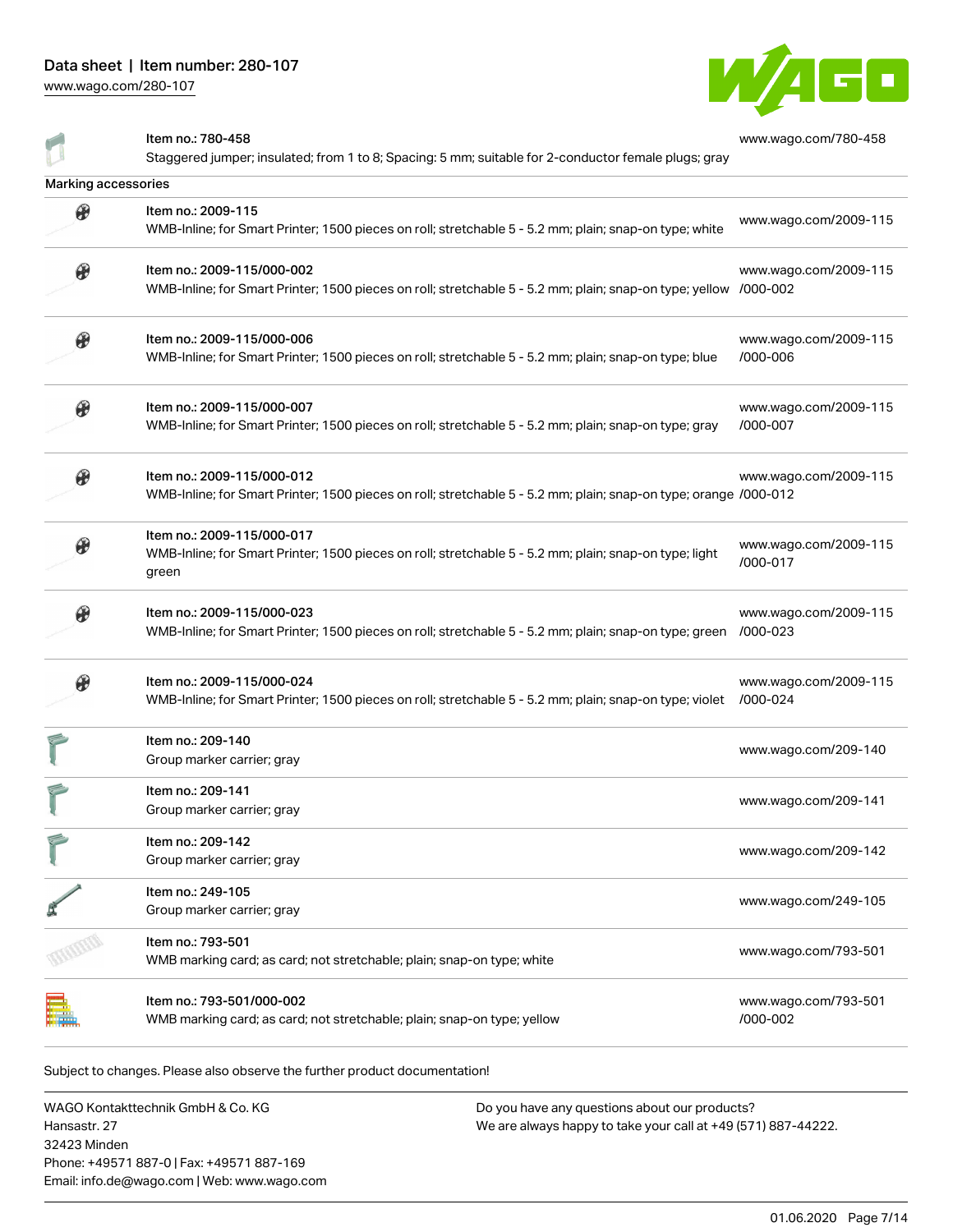[www.wago.com/280-107](http://www.wago.com/280-107)



|                       | Item no.: 780-458                                                                                                | www.wago.com/780-458  |
|-----------------------|------------------------------------------------------------------------------------------------------------------|-----------------------|
|                       | Staggered jumper; insulated; from 1 to 8; Spacing: 5 mm; suitable for 2-conductor female plugs; gray             |                       |
| Marking accessories   |                                                                                                                  |                       |
| $\boldsymbol{\theta}$ | Item no.: 2009-115                                                                                               | www.wago.com/2009-115 |
|                       | WMB-Inline; for Smart Printer; 1500 pieces on roll; stretchable 5 - 5.2 mm; plain; snap-on type; white           |                       |
| $\boldsymbol{\theta}$ | Item no.: 2009-115/000-002                                                                                       | www.wago.com/2009-115 |
|                       | WMB-Inline; for Smart Printer; 1500 pieces on roll; stretchable 5 - 5.2 mm; plain; snap-on type; yellow /000-002 |                       |
| $\boldsymbol{\theta}$ | Item no.: 2009-115/000-006                                                                                       | www.wago.com/2009-115 |
|                       | WMB-Inline; for Smart Printer; 1500 pieces on roll; stretchable 5 - 5.2 mm; plain; snap-on type; blue            | /000-006              |
| $\circledast$         | Item no.: 2009-115/000-007                                                                                       | www.wago.com/2009-115 |
|                       | WMB-Inline; for Smart Printer; 1500 pieces on roll; stretchable 5 - 5.2 mm; plain; snap-on type; gray            | /000-007              |
| $\boldsymbol{\theta}$ | Item no.: 2009-115/000-012                                                                                       | www.wago.com/2009-115 |
|                       | WMB-Inline; for Smart Printer; 1500 pieces on roll; stretchable 5 - 5.2 mm; plain; snap-on type; orange /000-012 |                       |
|                       | Item no.: 2009-115/000-017                                                                                       | www.wago.com/2009-115 |
|                       | WMB-Inline; for Smart Printer; 1500 pieces on roll; stretchable 5 - 5.2 mm; plain; snap-on type; light<br>green  | /000-017              |
|                       | Item no.: 2009-115/000-023                                                                                       | www.wago.com/2009-115 |
|                       | WMB-Inline; for Smart Printer; 1500 pieces on roll; stretchable 5 - 5.2 mm; plain; snap-on type; green           | /000-023              |
|                       | Item no.: 2009-115/000-024                                                                                       | www.wago.com/2009-115 |
|                       | WMB-Inline; for Smart Printer; 1500 pieces on roll; stretchable 5 - 5.2 mm; plain; snap-on type; violet          | /000-024              |
|                       | Item no.: 209-140                                                                                                | www.wago.com/209-140  |
|                       | Group marker carrier; gray                                                                                       |                       |
|                       | Item no.: 209-141                                                                                                | www.wago.com/209-141  |
|                       | Group marker carrier; gray                                                                                       |                       |
|                       | Item no.: 209-142                                                                                                | www.wago.com/209-142  |
|                       | Group marker carrier; gray                                                                                       |                       |
|                       | Item no.: 249-105                                                                                                | www.wago.com/249-105  |
|                       | Group marker carrier; gray                                                                                       |                       |
|                       | Item no.: 793-501                                                                                                | www.wago.com/793-501  |
|                       | WMB marking card; as card; not stretchable; plain; snap-on type; white                                           |                       |
|                       | Item no.: 793-501/000-002                                                                                        | www.wago.com/793-501  |
|                       | WMB marking card; as card; not stretchable; plain; snap-on type; yellow                                          | /000-002              |

Subject to changes. Please also observe the further product documentation!

WAGO Kontakttechnik GmbH & Co. KG Hansastr. 27 32423 Minden Phone: +49571 887-0 | Fax: +49571 887-169 Email: info.de@wago.com | Web: www.wago.com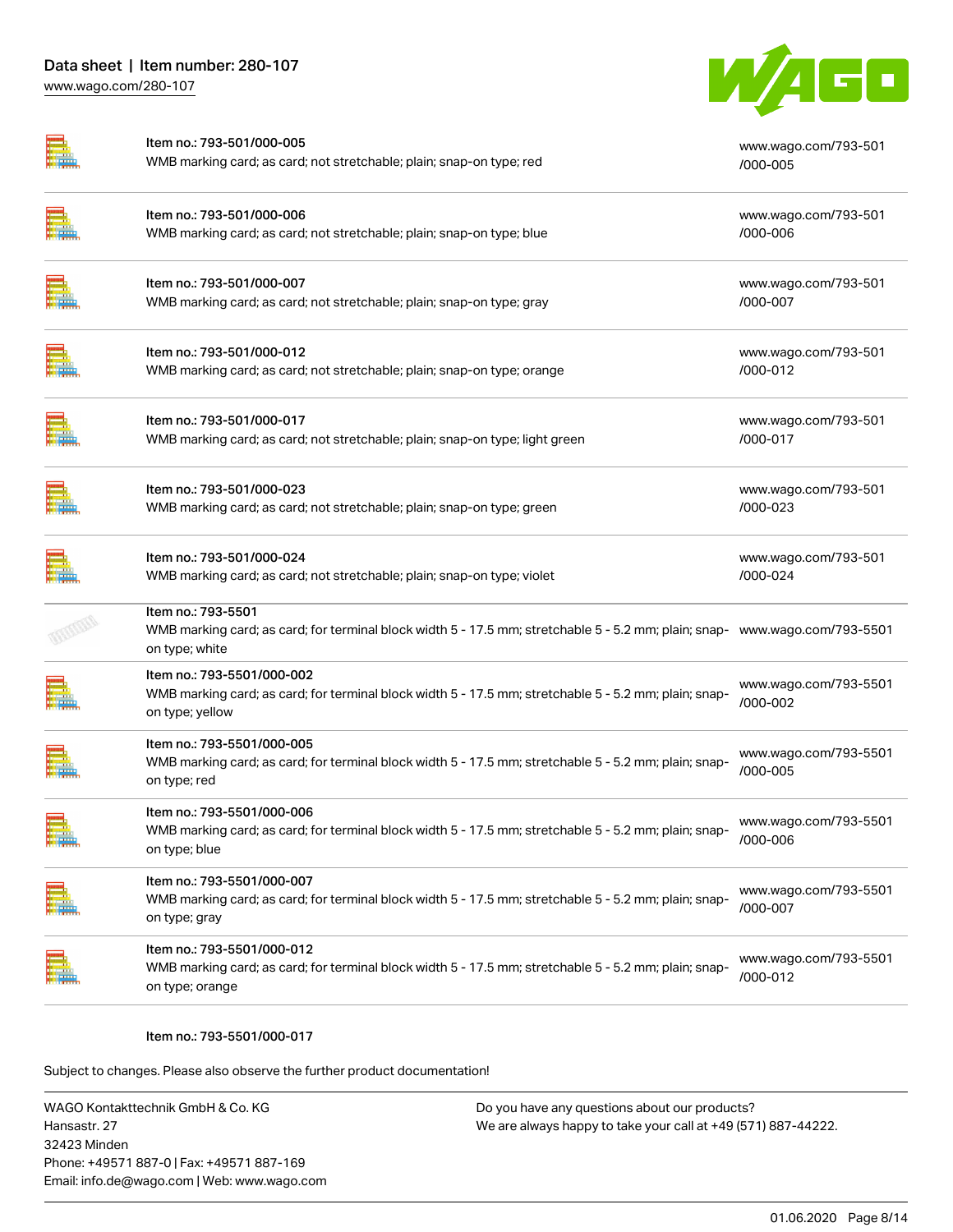

| Item no.: 793-501/000-005<br>WMB marking card; as card; not stretchable; plain; snap-on type; red                                                                   | www.wago.com/793-501<br>/000-005  |
|---------------------------------------------------------------------------------------------------------------------------------------------------------------------|-----------------------------------|
| Item no.: 793-501/000-006<br>WMB marking card; as card; not stretchable; plain; snap-on type; blue                                                                  | www.wago.com/793-501<br>/000-006  |
| Item no.: 793-501/000-007<br>WMB marking card; as card; not stretchable; plain; snap-on type; gray                                                                  | www.wago.com/793-501<br>/000-007  |
| Item no.: 793-501/000-012<br>WMB marking card; as card; not stretchable; plain; snap-on type; orange                                                                | www.wago.com/793-501<br>/000-012  |
| Item no.: 793-501/000-017<br>WMB marking card; as card; not stretchable; plain; snap-on type; light green                                                           | www.wago.com/793-501<br>/000-017  |
| Item no.: 793-501/000-023<br>WMB marking card; as card; not stretchable; plain; snap-on type; green                                                                 | www.wago.com/793-501<br>/000-023  |
| Item no.: 793-501/000-024<br>WMB marking card; as card; not stretchable; plain; snap-on type; violet                                                                | www.wago.com/793-501<br>/000-024  |
| Item no.: 793-5501<br>WMB marking card; as card; for terminal block width 5 - 17.5 mm; stretchable 5 - 5.2 mm; plain; snap- www.wago.com/793-5501<br>on type; white |                                   |
| Item no.: 793-5501/000-002<br>WMB marking card; as card; for terminal block width 5 - 17.5 mm; stretchable 5 - 5.2 mm; plain; snap-<br>on type; yellow              | www.wago.com/793-5501<br>/000-002 |
| ltem no.: 793-5501/000-005<br>WMB marking card; as card; for terminal block width 5 - 17.5 mm; stretchable 5 - 5.2 mm; plain; snap-<br>on type; red                 | www.wago.com/793-5501<br>/000-005 |
| ltem no.: 793-5501/000-006<br>WMB marking card; as card; for terminal block width 5 - 17.5 mm; stretchable 5 - 5.2 mm; plain; snap-<br>on type; blue                | www.wago.com/793-5501<br>/000-006 |
| Item no.: 793-5501/000-007<br>WMB marking card; as card; for terminal block width 5 - 17.5 mm; stretchable 5 - 5.2 mm; plain; snap-<br>on type; gray                | www.wago.com/793-5501<br>/000-007 |
| Item no.: 793-5501/000-012<br>WMB marking card; as card; for terminal block width 5 - 17.5 mm; stretchable 5 - 5.2 mm; plain; snap-<br>on type; orange              | www.wago.com/793-5501<br>/000-012 |
|                                                                                                                                                                     |                                   |

#### Item no.: 793-5501/000-017

Subject to changes. Please also observe the further product documentation!

WAGO Kontakttechnik GmbH & Co. KG Hansastr. 27 32423 Minden Phone: +49571 887-0 | Fax: +49571 887-169 Email: info.de@wago.com | Web: www.wago.com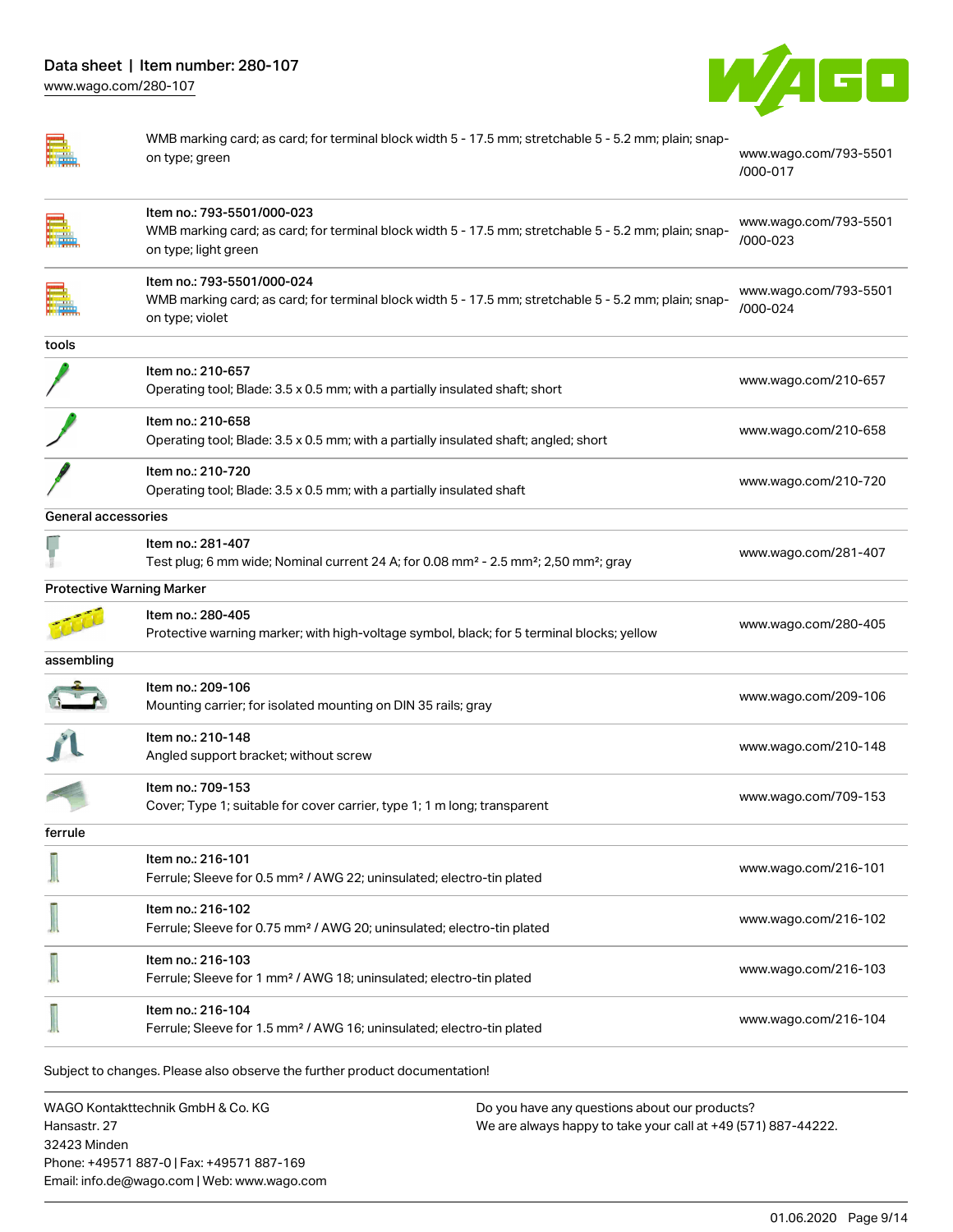

|                                  | WMB marking card; as card; for terminal block width 5 - 17.5 mm; stretchable 5 - 5.2 mm; plain; snap-<br>on type; green                                     | www.wago.com/793-5501<br>/000-017 |
|----------------------------------|-------------------------------------------------------------------------------------------------------------------------------------------------------------|-----------------------------------|
|                                  | Item no.: 793-5501/000-023<br>WMB marking card; as card; for terminal block width 5 - 17.5 mm; stretchable 5 - 5.2 mm; plain; snap-<br>on type; light green | www.wago.com/793-5501<br>/000-023 |
|                                  | Item no.: 793-5501/000-024<br>WMB marking card; as card; for terminal block width 5 - 17.5 mm; stretchable 5 - 5.2 mm; plain; snap-<br>on type; violet      | www.wago.com/793-5501<br>/000-024 |
| tools                            |                                                                                                                                                             |                                   |
|                                  | Item no.: 210-657<br>Operating tool; Blade: 3.5 x 0.5 mm; with a partially insulated shaft; short                                                           | www.wago.com/210-657              |
|                                  | Item no.: 210-658<br>Operating tool; Blade: 3.5 x 0.5 mm; with a partially insulated shaft; angled; short                                                   | www.wago.com/210-658              |
|                                  | Item no.: 210-720<br>Operating tool; Blade: 3.5 x 0.5 mm; with a partially insulated shaft                                                                  | www.wago.com/210-720              |
| General accessories              |                                                                                                                                                             |                                   |
|                                  | Item no.: 281-407<br>Test plug; 6 mm wide; Nominal current 24 A; for 0.08 mm <sup>2</sup> - 2.5 mm <sup>2</sup> ; 2,50 mm <sup>2</sup> ; gray               | www.wago.com/281-407              |
| <b>Protective Warning Marker</b> |                                                                                                                                                             |                                   |
|                                  | Item no.: 280-405<br>Protective warning marker; with high-voltage symbol, black; for 5 terminal blocks; yellow                                              | www.wago.com/280-405              |
| assembling                       |                                                                                                                                                             |                                   |
|                                  | Item no.: 209-106<br>Mounting carrier; for isolated mounting on DIN 35 rails; gray                                                                          | www.wago.com/209-106              |
|                                  | Item no.: 210-148<br>Angled support bracket; without screw                                                                                                  | www.wago.com/210-148              |
|                                  | Item no.: 709-153<br>Cover; Type 1; suitable for cover carrier, type 1; 1 m long; transparent                                                               | www.wago.com/709-153              |
| ferrule                          |                                                                                                                                                             |                                   |
|                                  | Item no.: 216-101<br>Ferrule; Sleeve for 0.5 mm <sup>2</sup> / AWG 22; uninsulated; electro-tin plated                                                      | www.wago.com/216-101              |
|                                  | Item no.: 216-102<br>Ferrule; Sleeve for 0.75 mm <sup>2</sup> / AWG 20; uninsulated; electro-tin plated                                                     | www.wago.com/216-102              |
|                                  | Item no.: 216-103<br>Ferrule; Sleeve for 1 mm <sup>2</sup> / AWG 18; uninsulated; electro-tin plated                                                        | www.wago.com/216-103              |
|                                  | Item no.: 216-104<br>Ferrule; Sleeve for 1.5 mm <sup>2</sup> / AWG 16; uninsulated; electro-tin plated                                                      | www.wago.com/216-104              |
|                                  | Subject to changes. Please also observe the further product documentation!                                                                                  |                                   |
|                                  | MAGO Kontakttachnik GmhH & Co KG<br>Do you have any questions about our products?                                                                           |                                   |

WAGO Kontakttechnik GmbH & Co. KG Hansastr. 27 32423 Minden Phone: +49571 887-0 | Fax: +49571 887-169 Email: info.de@wago.com | Web: www.wago.com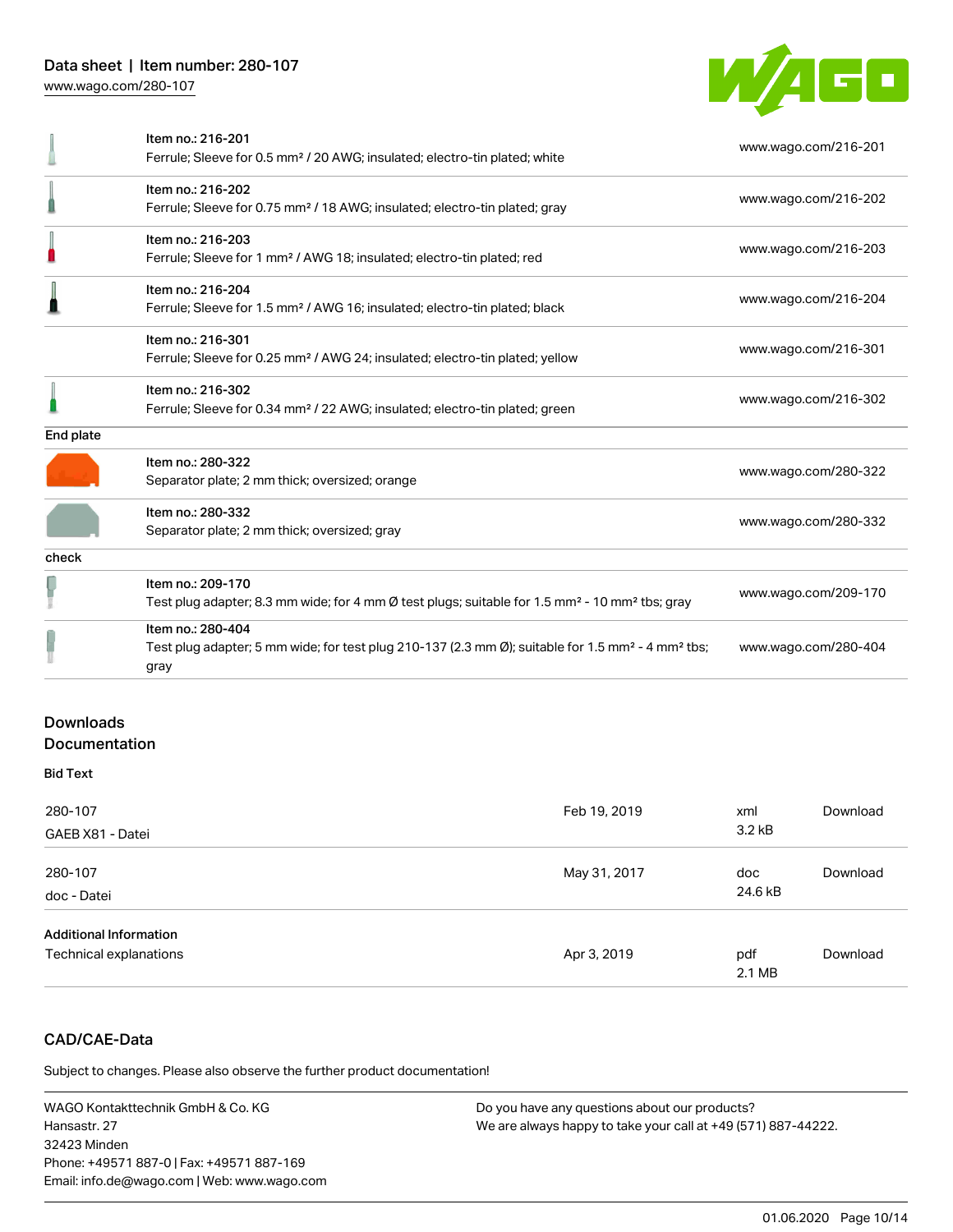

|           | Item no.: 216-201<br>Ferrule; Sleeve for 0.5 mm <sup>2</sup> / 20 AWG; insulated; electro-tin plated; white                                            | www.wago.com/216-201 |
|-----------|--------------------------------------------------------------------------------------------------------------------------------------------------------|----------------------|
|           | Item no.: 216-202<br>Ferrule; Sleeve for 0.75 mm <sup>2</sup> / 18 AWG; insulated; electro-tin plated; gray                                            | www.wago.com/216-202 |
|           | Item no.: 216-203<br>Ferrule; Sleeve for 1 mm <sup>2</sup> / AWG 18; insulated; electro-tin plated; red                                                | www.wago.com/216-203 |
|           | Item no.: 216-204<br>Ferrule; Sleeve for 1.5 mm <sup>2</sup> / AWG 16; insulated; electro-tin plated; black                                            | www.wago.com/216-204 |
|           | Item no.: 216-301<br>Ferrule; Sleeve for 0.25 mm <sup>2</sup> / AWG 24; insulated; electro-tin plated; yellow                                          | www.wago.com/216-301 |
|           | Item no.: 216-302<br>Ferrule; Sleeve for 0.34 mm <sup>2</sup> / 22 AWG; insulated; electro-tin plated; green                                           | www.wago.com/216-302 |
| End plate |                                                                                                                                                        |                      |
|           | Item no.: 280-322<br>Separator plate; 2 mm thick; oversized; orange                                                                                    | www.wago.com/280-322 |
|           | Item no.: 280-332<br>Separator plate; 2 mm thick; oversized; gray                                                                                      | www.wago.com/280-332 |
| check     |                                                                                                                                                        |                      |
|           | Item no.: 209-170<br>Test plug adapter; 8.3 mm wide; for 4 mm Ø test plugs; suitable for 1.5 mm <sup>2</sup> - 10 mm <sup>2</sup> tbs; gray            | www.wago.com/209-170 |
|           | Item no.: 280-404<br>Test plug adapter; 5 mm wide; for test plug 210-137 (2.3 mm Ø); suitable for 1.5 mm <sup>2</sup> - 4 mm <sup>2</sup> tbs;<br>gray | www.wago.com/280-404 |
|           |                                                                                                                                                        |                      |

# **Downloads** Documentation

#### Bid Text

| 280-107<br>GAEB X81 - Datei                             | Feb 19, 2019 | xml<br>3.2 <sub>kB</sub> | Download |
|---------------------------------------------------------|--------------|--------------------------|----------|
| 280-107<br>doc - Datei                                  | May 31, 2017 | doc<br>24.6 kB           | Download |
| <b>Additional Information</b><br>Technical explanations | Apr 3, 2019  | pdf<br>2.1 MB            | Download |

# CAD/CAE-Data

Subject to changes. Please also observe the further product documentation!

WAGO Kontakttechnik GmbH & Co. KG Hansastr. 27 32423 Minden Phone: +49571 887-0 | Fax: +49571 887-169 Email: info.de@wago.com | Web: www.wago.com Do you have any questions about our products? We are always happy to take your call at +49 (571) 887-44222.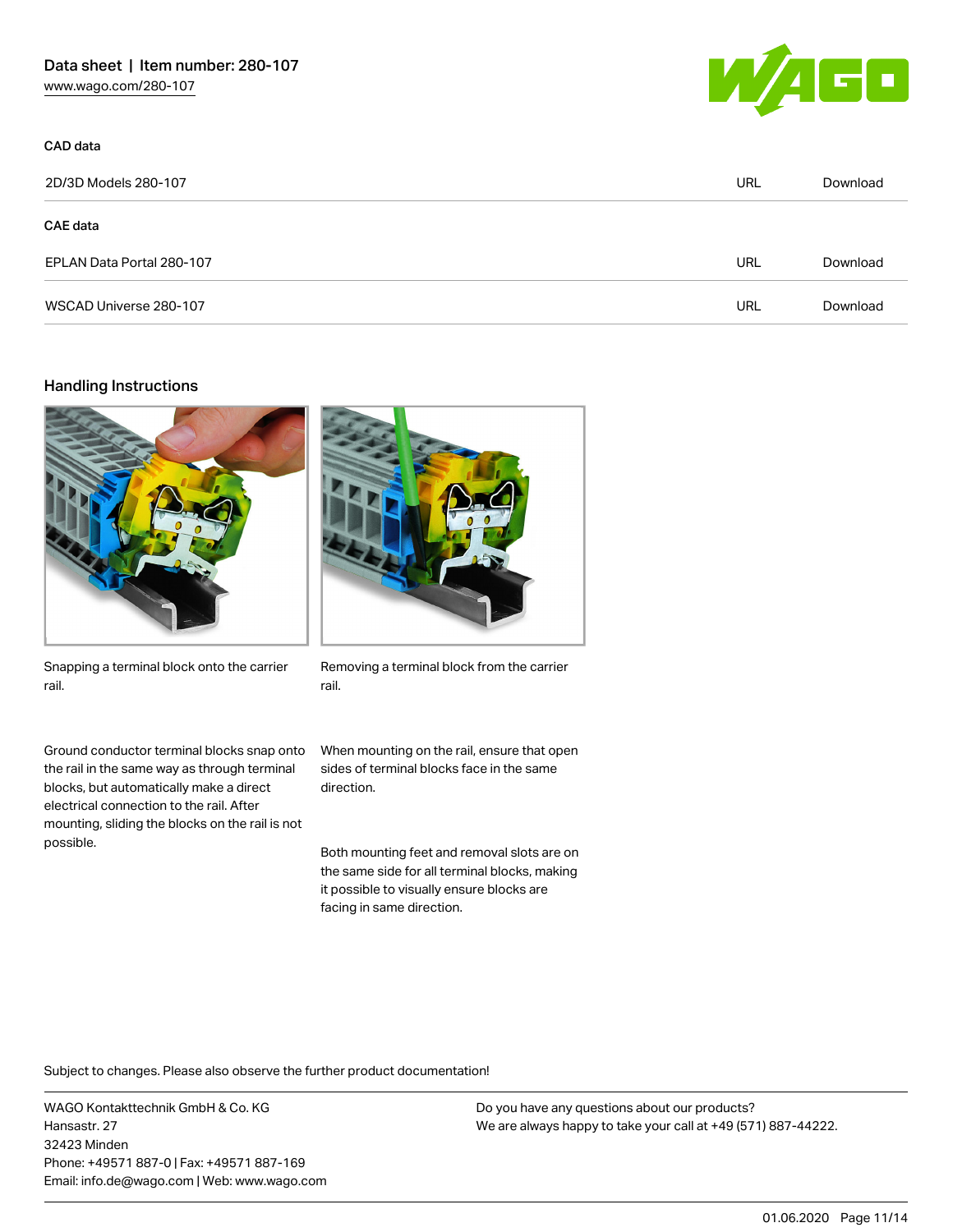

| 2D/3D Models 280-107      | URL | Download |
|---------------------------|-----|----------|
| <b>CAE</b> data           |     |          |
| EPLAN Data Portal 280-107 | URL | Download |
| WSCAD Universe 280-107    | URL | Download |

### Handling Instructions

CAD data





Snapping a terminal block onto the carrier rail.

Ground conductor terminal blocks snap onto the rail in the same way as through terminal blocks, but automatically make a direct electrical connection to the rail. After mounting, sliding the blocks on the rail is not possible.

Removing a terminal block from the carrier rail.

When mounting on the rail, ensure that open sides of terminal blocks face in the same direction.

Both mounting feet and removal slots are on the same side for all terminal blocks, making it possible to visually ensure blocks are facing in same direction.

Subject to changes. Please also observe the further product documentation!

WAGO Kontakttechnik GmbH & Co. KG Hansastr. 27 32423 Minden Phone: +49571 887-0 | Fax: +49571 887-169 Email: info.de@wago.com | Web: www.wago.com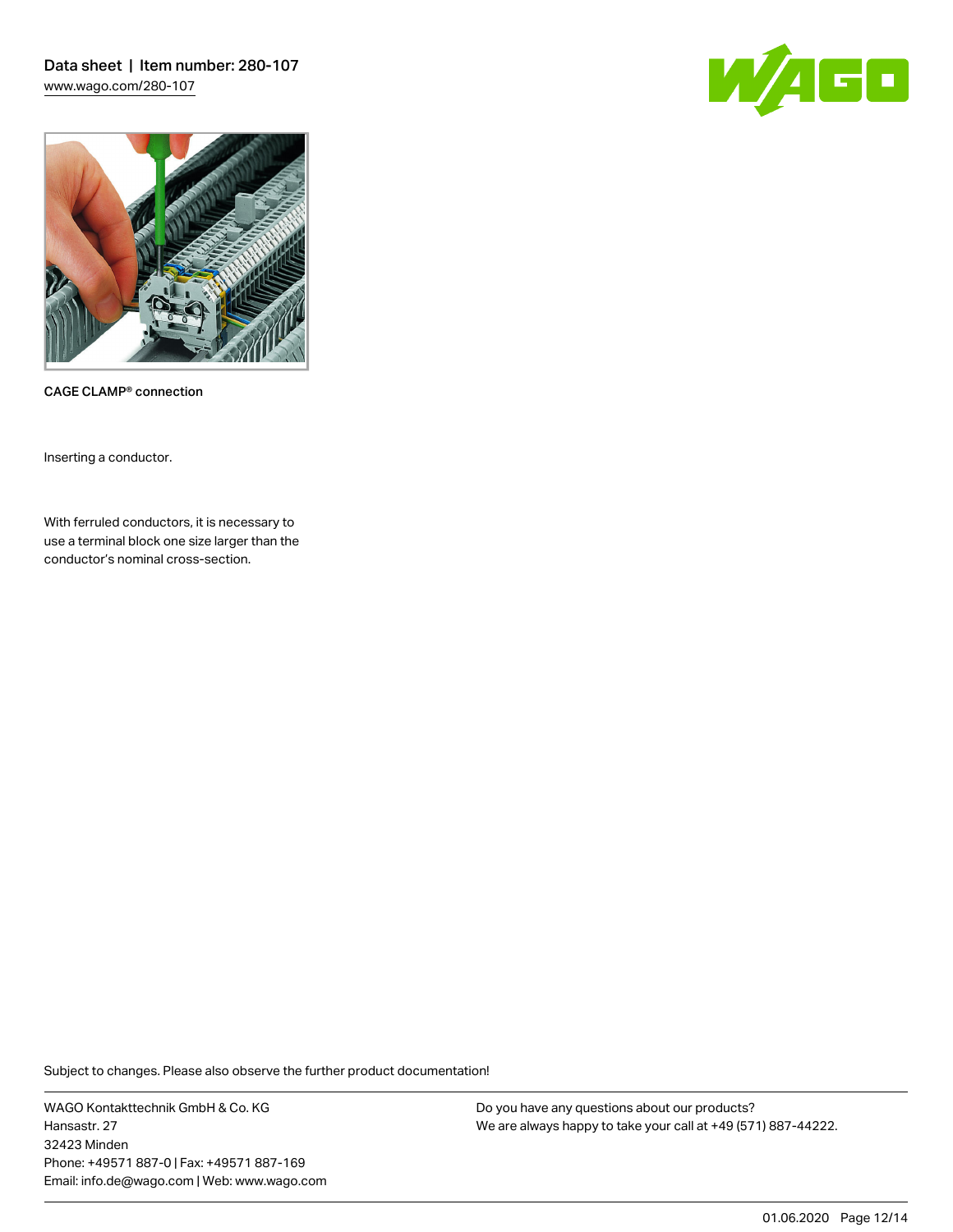Data sheet | Item number: 280-107 [www.wago.com/280-107](http://www.wago.com/280-107)





CAGE CLAMP® connection

Inserting a conductor.

With ferruled conductors, it is necessary to use a terminal block one size larger than the conductor's nominal cross-section.

Subject to changes. Please also observe the further product documentation!

WAGO Kontakttechnik GmbH & Co. KG Hansastr. 27 32423 Minden Phone: +49571 887-0 | Fax: +49571 887-169 Email: info.de@wago.com | Web: www.wago.com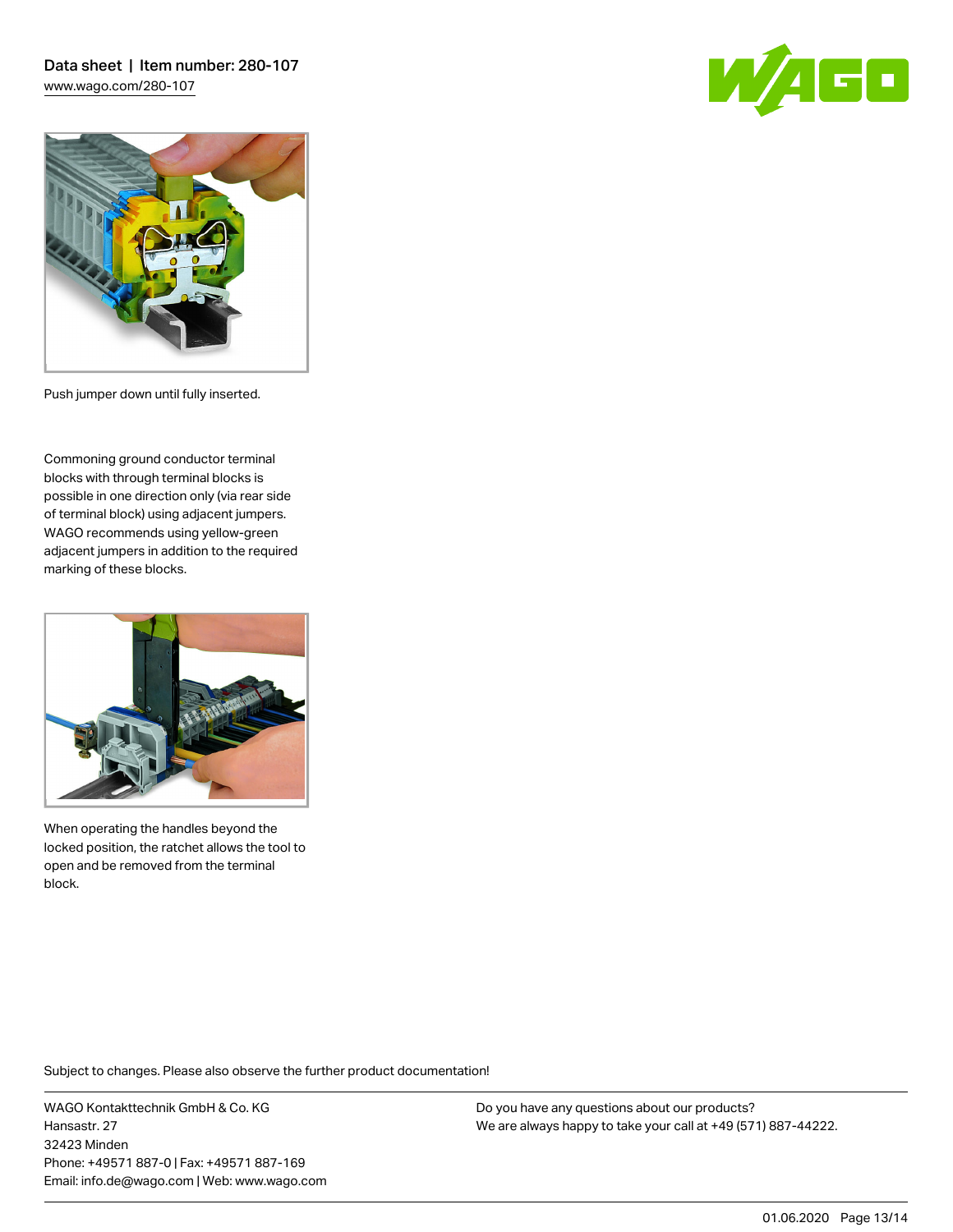Data sheet | Item number: 280-107 [www.wago.com/280-107](http://www.wago.com/280-107)





Push jumper down until fully inserted.

Commoning ground conductor terminal blocks with through terminal blocks is possible in one direction only (via rear side of terminal block) using adjacent jumpers. WAGO recommends using yellow-green adjacent jumpers in addition to the required marking of these blocks.



When operating the handles beyond the locked position, the ratchet allows the tool to open and be removed from the terminal block.

Subject to changes. Please also observe the further product documentation!

WAGO Kontakttechnik GmbH & Co. KG Hansastr. 27 32423 Minden Phone: +49571 887-0 | Fax: +49571 887-169 Email: info.de@wago.com | Web: www.wago.com